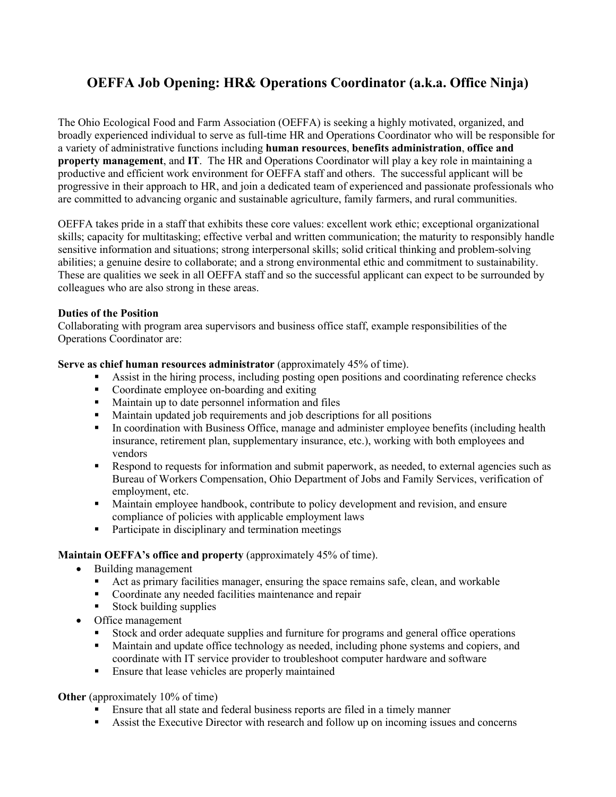# **OEFFA Job Opening: HR& Operations Coordinator (a.k.a. Office Ninja)**

The Ohio Ecological Food and Farm Association (OEFFA) is seeking a highly motivated, organized, and broadly experienced individual to serve as full-time HR and Operations Coordinator who will be responsible for a variety of administrative functions including **human resources**, **benefits administration**, **office and property management**, and **IT**. The HR and Operations Coordinator will play a key role in maintaining a productive and efficient work environment for OEFFA staff and others. The successful applicant will be progressive in their approach to HR, and join a dedicated team of experienced and passionate professionals who are committed to advancing organic and sustainable agriculture, family farmers, and rural communities.

OEFFA takes pride in a staff that exhibits these core values: excellent work ethic; exceptional organizational skills; capacity for multitasking; effective verbal and written communication; the maturity to responsibly handle sensitive information and situations; strong interpersonal skills; solid critical thinking and problem-solving abilities; a genuine desire to collaborate; and a strong environmental ethic and commitment to sustainability. These are qualities we seek in all OEFFA staff and so the successful applicant can expect to be surrounded by colleagues who are also strong in these areas.

## **Duties of the Position**

Collaborating with program area supervisors and business office staff, example responsibilities of the Operations Coordinator are:

### **Serve as chief human resources administrator** (approximately 45% of time).

- Assist in the hiring process, including posting open positions and coordinating reference checks
- Coordinate employee on-boarding and exiting
- Maintain up to date personnel information and files
- Maintain updated job requirements and job descriptions for all positions
- In coordination with Business Office, manage and administer employee benefits (including health insurance, retirement plan, supplementary insurance, etc.), working with both employees and vendors
- Respond to requests for information and submit paperwork, as needed, to external agencies such as Bureau of Workers Compensation, Ohio Department of Jobs and Family Services, verification of employment, etc.
- Maintain employee handbook, contribute to policy development and revision, and ensure compliance of policies with applicable employment laws
- **•** Participate in disciplinary and termination meetings

#### **Maintain OEFFA's office and property** (approximately 45% of time).

- Building management
	- Act as primary facilities manager, ensuring the space remains safe, clean, and workable
	- Coordinate any needed facilities maintenance and repair
	- $\blacksquare$  Stock building supplies
- Office management
	- Stock and order adequate supplies and furniture for programs and general office operations
	- Maintain and update office technology as needed, including phone systems and copiers, and coordinate with IT service provider to troubleshoot computer hardware and software
	- **Ensure that lease vehicles are properly maintained**

**Other** (approximately 10% of time)

- Ensure that all state and federal business reports are filed in a timely manner
- Assist the Executive Director with research and follow up on incoming issues and concerns